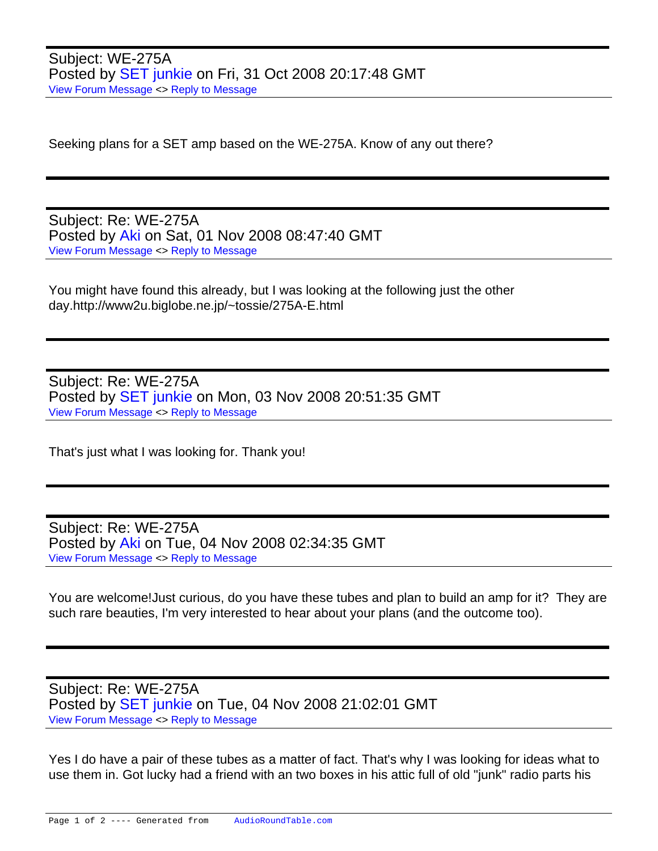Subject: WE-275A Posted by **SET** junkie on Fri, 31 Oct 2008 20:17:48 GMT [View Forum Message](https://audioroundtable.com/forum/index.php?t=rview&th=1980&goto=11432#msg_11432) <> [Reply to Message](https://audioroundtable.com/forum/index.php?t=post&reply_to=11432)

Seeking plans for a SET amp based on the WE-275A. Know of any out there?

Subject: Re: WE-275A Posted by [Aki](https://audioroundtable.com/forum/index.php?t=usrinfo&id=198) on Sat, 01 Nov 2008 08:47:40 GMT [View Forum Message](https://audioroundtable.com/forum/index.php?t=rview&th=1980&goto=11433#msg_11433) <> [Reply to Message](https://audioroundtable.com/forum/index.php?t=post&reply_to=11433)

You might have found this already, but I was looking at the following just the other day.http://www2u.biglobe.ne.jp/~tossie/275A-E.html

Subject: Re: WE-275A Posted by **SET** junkie on Mon, 03 Nov 2008 20:51:35 GMT [View Forum Message](https://audioroundtable.com/forum/index.php?t=rview&th=1980&goto=11434#msg_11434) <> [Reply to Message](https://audioroundtable.com/forum/index.php?t=post&reply_to=11434)

That's just what I was looking for. Thank you!

Subject: Re: WE-275A Posted by [Aki](https://audioroundtable.com/forum/index.php?t=usrinfo&id=198) on Tue, 04 Nov 2008 02:34:35 GMT [View Forum Message](https://audioroundtable.com/forum/index.php?t=rview&th=1980&goto=11435#msg_11435) <> [Reply to Message](https://audioroundtable.com/forum/index.php?t=post&reply_to=11435)

You are welcome!Just curious, do you have these tubes and plan to build an amp for it? They are such rare beauties, I'm very interested to hear about your plans (and the outcome too).

Subject: Re: WE-275A Posted by [SET junkie](https://audioroundtable.com/forum/index.php?t=usrinfo&id=557) on Tue, 04 Nov 2008 21:02:01 GMT [View Forum Message](https://audioroundtable.com/forum/index.php?t=rview&th=1980&goto=11436#msg_11436) <> [Reply to Message](https://audioroundtable.com/forum/index.php?t=post&reply_to=11436)

Yes I do have a pair of these tubes as a matter of fact. That's why I was looking for ideas what to use them in. Got lucky had a friend with an two boxes in his attic full of old "junk" radio parts his